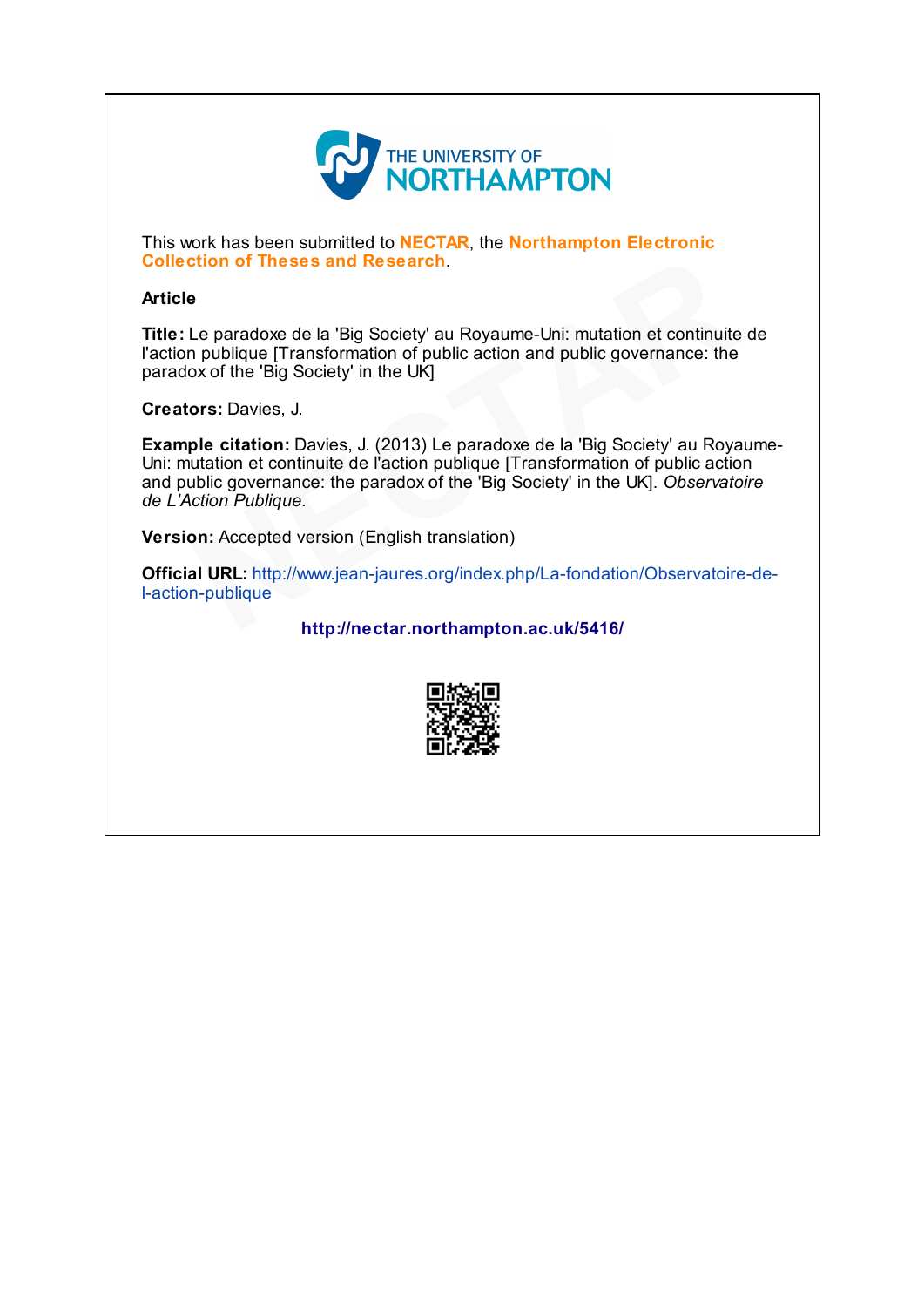

This work has been submitted to **NECTAR**, the **Northampton Electronic** Collection of Theses and Research.

## Article

Title: Le paradoxe de la 'Big Society' au Royaume-Uni: mutation et continuite de l'action publique [Transformation of public action and public governance: the paradox of the 'Big Society' in the UK]

Creators: Davies, J.

Example citation: Davies, J. (2013) Le paradoxe de la 'Big Society' au Royaume-Uni: mutation et continuite de l'action publique [Transformation of public action and public governance: the paradox of the 'Big Society' in the UK]. Observatoire de L'Action Publique. **eses and Research**.<br>
e de la 'Big Society' au Royaume-Uni: mutation et continuite<br>
Transformation of public action and public governance: the<br>
g Society' in the UK]<br>
i, J.<br>
i, J.<br>
2013) Le paradoxe de la 'Big Society' au

Version: Accepted version (English translation)

Official URL: [http://www.jean-jaures.org/index.php/La-fondation/Observatoire-de](http://www.jean-jaures.org/index.php/La-fondation/Observatoire-de-l-action-publique)l-action-publique on: Accepted ve<br>
al URL: http://w<br>
n-publique<br>
h

<http://nectar.northampton.ac.uk/5416/>

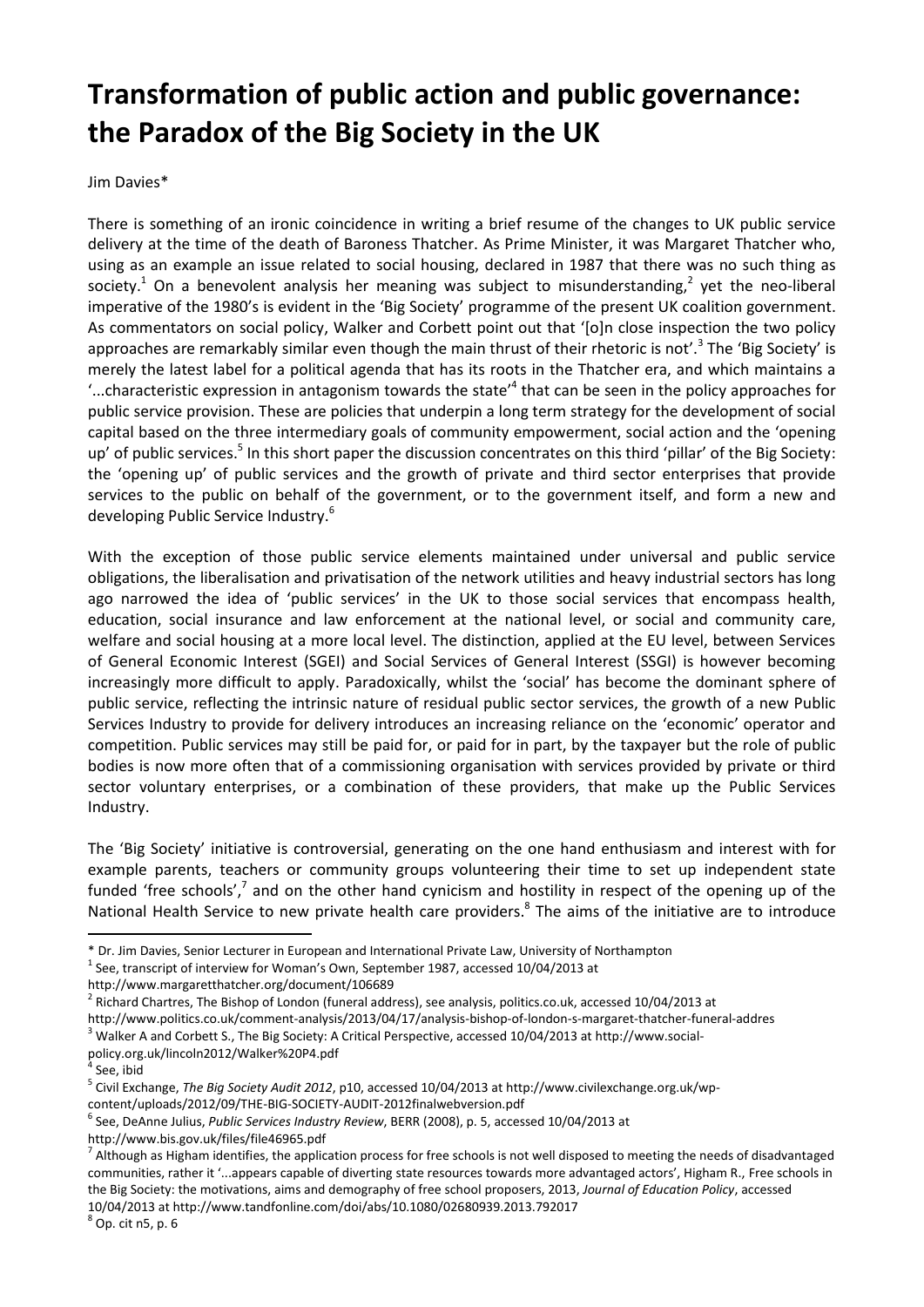## **Transformation of public action and public governance: the Paradox of the Big Society in the UK**

Jim Davies\*

There is something of an ironic coincidence in writing a brief resume of the changes to UK public service delivery at the time of the death of Baroness Thatcher. As Prime Minister, it was Margaret Thatcher who, using as an example an issue related to social housing, declared in 1987 that there was no such thing as society.<sup>1</sup> On a benevolent analysis her meaning was subject to misunderstanding,<sup>2</sup> yet the neo-liberal imperative of the 1980's is evident in the 'Big Society' programme of the present UK coalition government. As commentators on social policy, Walker and Corbett point out that '[o]n close inspection the two policy approaches are remarkably similar even though the main thrust of their rhetoric is not'.<sup>3</sup> The 'Big Society' is merely the latest label for a political agenda that has its roots in the Thatcher era, and which maintains a '...characteristic expression in antagonism towards the state' 4 that can be seen in the policy approaches for public service provision. These are policies that underpin a long term strategy for the development of social capital based on the three intermediary goals of community empowerment, social action and the 'opening up' of public services.<sup>5</sup> In this short paper the discussion concentrates on this third 'pillar' of the Big Society: the 'opening up' of public services and the growth of private and third sector enterprises that provide services to the public on behalf of the government, or to the government itself, and form a new and developing Public Service Industry.<sup>6</sup>

With the exception of those public service elements maintained under universal and public service obligations, the liberalisation and privatisation of the network utilities and heavy industrial sectors has long ago narrowed the idea of 'public services' in the UK to those social services that encompass health, education, social insurance and law enforcement at the national level, or social and community care, welfare and social housing at a more local level. The distinction, applied at the EU level, between Services of General Economic Interest (SGEI) and Social Services of General Interest (SSGI) is however becoming increasingly more difficult to apply. Paradoxically, whilst the 'social' has become the dominant sphere of public service, reflecting the intrinsic nature of residual public sector services, the growth of a new Public Services Industry to provide for delivery introduces an increasing reliance on the 'economic' operator and competition. Public services may still be paid for, or paid for in part, by the taxpayer but the role of public bodies is now more often that of a commissioning organisation with services provided by private or third sector voluntary enterprises, or a combination of these providers, that make up the Public Services Industry.

The 'Big Society' initiative is controversial, generating on the one hand enthusiasm and interest with for example parents, teachers or community groups volunteering their time to set up independent state funded 'free schools',<sup>7</sup> and on the other hand cynicism and hostility in respect of the opening up of the National Health Service to new private health care providers.<sup>8</sup> The aims of the initiative are to introduce

 $<sup>1</sup>$  See, transcript of interview for Woman's Own, September 1987, accessed 10/04/2013 at</sup>

<sup>3</sup> Walker A and Corbett S., The Big Society: A Critical Perspective, accessed 10/04/2013 at http://www.socialpolicy.org.uk/lincoln2012/Walker%20P4.pdf

1

http://www.bis.gov.uk/files/file46965.pdf

<sup>\*</sup> Dr. Jim Davies, Senior Lecturer in European and International Private Law, University of Northampton

<http://www.margaretthatcher.org/document/106689>

 $^2$  Richard Chartres, The Bishop of London (funeral address), see analysis, politics.co.uk, accessed 10/04/2013 at http://www.politics.co.uk/comment-analysis/2013/04/17/analysis-bishop-of-london-s-margaret-thatcher-funeral-addres

<sup>4</sup> See, ibid

<sup>5</sup> Civil Exchange, *The Big Society Audit 2012*, p10, accessed 10/04/2013 at http://www.civilexchange.org.uk/wpcontent/uploads/2012/09/THE-BIG-SOCIETY-AUDIT-2012finalwebversion.pdf

<sup>6</sup> See, DeAnne Julius, *Public Services Industry Review*, BERR (2008), p. 5, accessed 10/04/2013 at

 $^7$  Although as Higham identifies, the application process for free schools is not well disposed to meeting the needs of disadvantaged communities, rather it '...appears capable of diverting state resources towards more advantaged actors', Higham R., Free schools in the Big Society: the motivations, aims and demography of free school proposers, 2013, *Journal of Education Policy*, accessed 10/04/2013 at http://www.tandfonline.com/doi/abs/10.1080/02680939.2013.792017

<sup>8</sup> Op. cit n5, p. 6